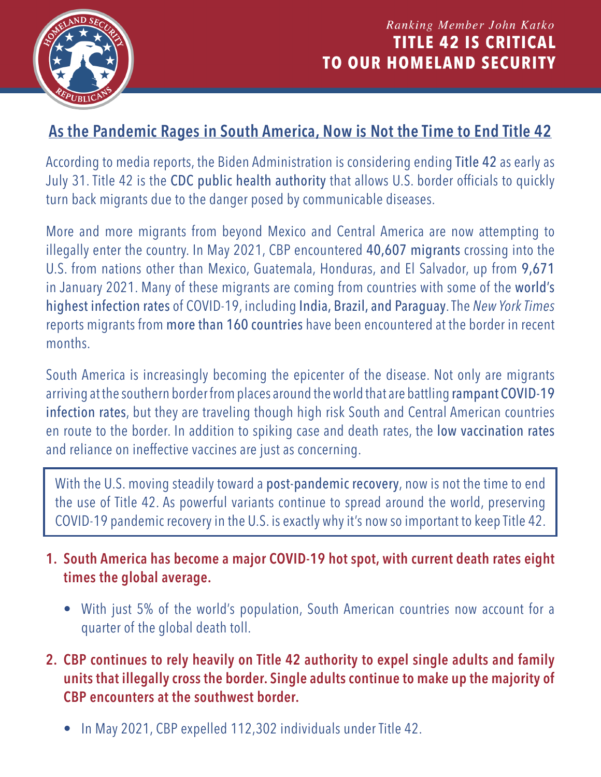

## **As the Pandemic Rages in South America, Now is Not the Time to End Title 42**

According to [media reports,](https://www.axios.com/newsletters/axios-sneak-peek-1b0b7e75-925b-4d50-84ed-8594b5a1082b.html?chunk=2&utm_term=emshare#story2) the Biden Administration is considering ending Title 42 as early as July 31. Title 42 is the CDC public health authority that allows U.S. border officials to quickly turn back migrants due to the danger posed by communicable diseases.

More and more migrants from beyond Mexico and Central America are now attempting to illegally enter the country. In May 2021, CBP encountered 40,607 migrants crossing into the U.S. from nations other than Mexico, Guatemala, Honduras, and El Salvador, up from 9,671 in January 2021. Many of these migrants are coming from countries with some of the world's highest infection rates of COVID-19, including [India, Brazil, and Paraguay](https://www.nytimes.com/2021/05/16/us/migrants-border-coronavirus-pandemic.html). The *[New York Times](https://www.nytimes.com/2021/05/16/us/migrants-border-coronavirus-pandemic.html)* reports migrants from more than 160 countries have been encountered at the border in recent months.

South America is increasingly becoming the epicenter of the disease. Not only are migrants arriving at the southern border from places around the world that are battling rampant COVID-19 infection rates, but they are traveling though high risk South and Central American countries en route to the border. In addition to spiking case and death rates, the low vaccination rates an[d reliance on ineffective vaccines a](https://www.nbcnews.com/news/world/china-using-vaccines-push-its-agenda-latin-america-u-s-n1268146)re just as concerning.

With the U.S. moving steadily toward a post-pandemic recovery, now is not the time to end the use of Title 42. As powerful variants continue to spread around the world, preserving COVID-19 pandemic recovery in the U.S. is exactly why it's now so important to keep Title 42.

- **1. [South America has become a major COVID-19 hot spot, with current death rates eight](https://www.wsj.com/articles/south-america-is-now-covid-19-hot-spot-witheighttimes-the-worlds-death-rate-11624299176)  times the global average.**
	- With just 5% of the world's population, South American countries now account for a quarter of the global death toll.
- **2. [CBP continues to rely heavily on Title 42 authority to expel single adults and family](https://www.cbp.gov/newsroom/national-media-release/cbp-announces-may-2021-operational-update)  units that illegally cross the border. Single adults continue to make up the majority of CBP encounters at the southwest border.**
	- In May 2021, CBP expelled 112,302 individuals under Title 42.